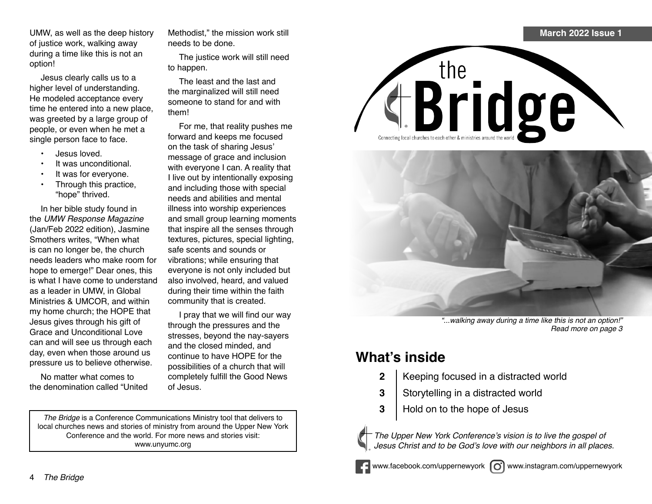UMW, as well as the deep history of justice work, walking away during a time like this is not an option!

Jesus clearly calls us to a higher level of understanding. He modeled acceptance every time he entered into a new place, was greeted by a large group of people, or even when he met a single person face to face.

- Jesus loved.
- It was unconditional.
- It was for everyone.
- Through this practice, "hope" thrived.

In her bible study found in the UMW Response Magazine (Jan/Feb 2022 edition), Jasmine Smothers writes, "When what is can no longer be, the church needs leaders who make room for hope to emerge!" Dear ones, this is what I have come to understand as a leader in UMW, in Global Ministries & UMCOR, and within my home church; the HOPE that Jesus gives through his gift of Grace and Unconditional Love can and will see us through each day, even when those around us pressure us to believe otherwise.

No matter what comes to the denomination called "United Methodist," the mission work still needs to be done.

The justice work will still need to happen.

The least and the last and the marginalized will still need someone to stand for and with them!

For me, that reality pushes me forward and keeps me focused on the task of sharing Jesus' message of grace and inclusion with everyone I can. A reality that I live out by intentionally exposing and including those with special needs and abilities and mental illness into worship experiences and small group learning moments that inspire all the senses through textures, pictures, special lighting, safe scents and sounds or vibrations; while ensuring that everyone is not only included but also involved, heard, and valued during their time within the faith community that is created.

I pray that we will find our way through the pressures and the stresses, beyond the nay-sayers and the closed minded, and continue to have HOPE for the possibilities of a church that will completely fulfill the Good News of Jesus.

*The Bridge* is a Conference Communications Ministry tool that delivers to local churches news and stories of ministry from around the Upper New York Conference and the world. For more news and stories visit: www.unyumc.org







"...walking away during a time like this is not an option!" Read more on page 3

## **What's inside**

- **2** Keeping focused in a distracted world
- **3** Storytelling in a distracted world
- **3** | Hold on to the hope of Jesus



The Upper New York Conference's vision is to live the gospel of Jesus Christ and to be God's love with our neighbors in all places.